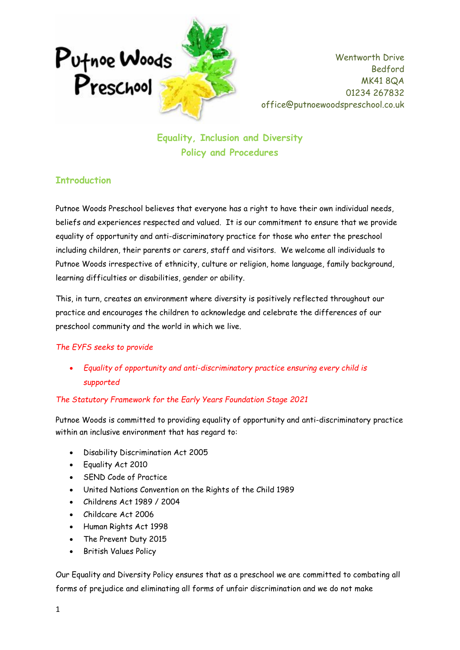

**Equality, Inclusion and Diversity Policy and Procedures**

## **Introduction**

Putnoe Woods Preschool believes that everyone has a right to have their own individual needs, beliefs and experiences respected and valued. It is our commitment to ensure that we provide equality of opportunity and anti-discriminatory practice for those who enter the preschool including children, their parents or carers, staff and visitors. We welcome all individuals to Putnoe Woods irrespective of ethnicity, culture or religion, home language, family background, learning difficulties or disabilities, gender or ability.

This, in turn, creates an environment where diversity is positively reflected throughout our practice and encourages the children to acknowledge and celebrate the differences of our preschool community and the world in which we live.

#### *The EYFS seeks to provide*

• *Equality of opportunity and anti-discriminatory practice ensuring every child is supported*

#### *The Statutory Framework for the Early Years Foundation Stage 2021*

Putnoe Woods is committed to providing equality of opportunity and anti-discriminatory practice within an inclusive environment that has regard to:

- Disability Discrimination Act 2005
- Equality Act 2010
- SEND Code of Practice
- United Nations Convention on the Rights of the Child 1989
- Childrens Act 1989 / 2004
- Childcare Act 2006
- Human Rights Act 1998
- The Prevent Duty 2015
- British Values Policy

Our Equality and Diversity Policy ensures that as a preschool we are committed to combating all forms of prejudice and eliminating all forms of unfair discrimination and we do not make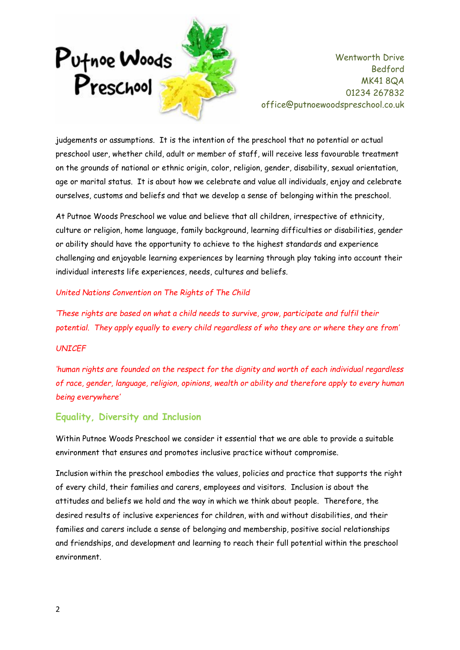

judgements or assumptions. It is the intention of the preschool that no potential or actual preschool user, whether child, adult or member of staff, will receive less favourable treatment on the grounds of national or ethnic origin, color, religion, gender, disability, sexual orientation, age or marital status. It is about how we celebrate and value all individuals, enjoy and celebrate ourselves, customs and beliefs and that we develop a sense of belonging within the preschool.

At Putnoe Woods Preschool we value and believe that all children, irrespective of ethnicity, culture or religion, home language, family background, learning difficulties or disabilities, gender or ability should have the opportunity to achieve to the highest standards and experience challenging and enjoyable learning experiences by learning through play taking into account their individual interests life experiences, needs, cultures and beliefs.

#### *United Nations Convention on The Rights of The Child*

*'These rights are based on what a child needs to survive, grow, participate and fulfil their potential. They apply equally to every child regardless of who they are or where they are from'*

#### *UNICEF*

*'human rights are founded on the respect for the dignity and worth of each individual regardless of race, gender, language, religion, opinions, wealth or ability and therefore apply to every human being everywhere'*

#### **Equality, Diversity and Inclusion**

Within Putnoe Woods Preschool we consider it essential that we are able to provide a suitable environment that ensures and promotes inclusive practice without compromise.

Inclusion within the preschool embodies the values, policies and practice that supports the right of every child, their families and carers, employees and visitors. Inclusion is about the attitudes and beliefs we hold and the way in which we think about people. Therefore, the desired results of inclusive experiences for children, with and without disabilities, and their families and carers include a sense of belonging and membership, positive social relationships and friendships, and development and learning to reach their full potential within the preschool environment.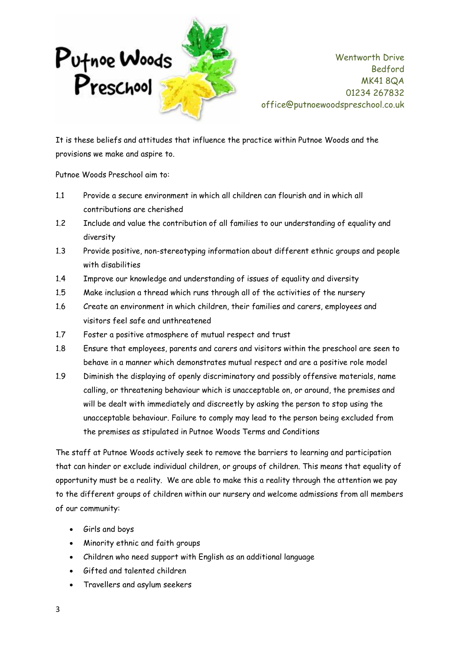

It is these beliefs and attitudes that influence the practice within Putnoe Woods and the provisions we make and aspire to.

Putnoe Woods Preschool aim to:

- 1.1 Provide a secure environment in which all children can flourish and in which all contributions are cherished
- 1.2 Include and value the contribution of all families to our understanding of equality and diversity
- 1.3 Provide positive, non-stereotyping information about different ethnic groups and people with disabilities
- 1.4 Improve our knowledge and understanding of issues of equality and diversity
- 1.5 Make inclusion a thread which runs through all of the activities of the nursery
- 1.6 Create an environment in which children, their families and carers, employees and visitors feel safe and unthreatened
- 1.7 Foster a positive atmosphere of mutual respect and trust
- 1.8 Ensure that employees, parents and carers and visitors within the preschool are seen to behave in a manner which demonstrates mutual respect and are a positive role model
- 1.9 Diminish the displaying of openly discriminatory and possibly offensive materials, name calling, or threatening behaviour which is unacceptable on, or around, the premises and will be dealt with immediately and discreetly by asking the person to stop using the unacceptable behaviour. Failure to comply may lead to the person being excluded from the premises as stipulated in Putnoe Woods Terms and Conditions

The staff at Putnoe Woods actively seek to remove the barriers to learning and participation that can hinder or exclude individual children, or groups of children. This means that equality of opportunity must be a reality. We are able to make this a reality through the attention we pay to the different groups of children within our nursery and welcome admissions from all members of our community:

- Girls and boys
- Minority ethnic and faith groups
- Children who need support with English as an additional language
- Gifted and talented children
- Travellers and asylum seekers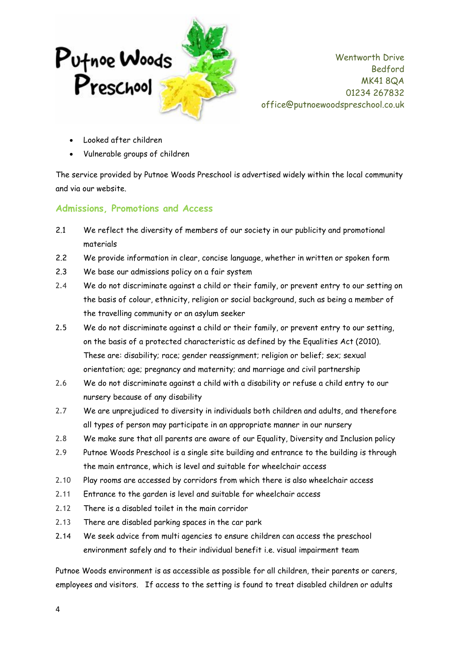

- Looked after children
- Vulnerable groups of children

The service provided by Putnoe Woods Preschool is advertised widely within the local community and via our website.

## **Admissions, Promotions and Access**

- 2.1 We reflect the diversity of members of our society in our publicity and promotional materials
- 2.2 We provide information in clear, concise language, whether in written or spoken form
- 2.3 We base our admissions policy on a fair system
- 2.4 We do not discriminate against a child or their family, or prevent entry to our setting on the basis of colour, ethnicity, religion or social background, such as being a member of the travelling community or an asylum seeker
- 2.5 We do not discriminate against a child or their family, or prevent entry to our setting, on the basis of a protected characteristic as defined by the Equalities Act (2010). These are: disability; race; gender reassignment; religion or belief; sex; sexual orientation; age; pregnancy and maternity; and marriage and civil partnership
- 2.6 We do not discriminate against a child with a disability or refuse a child entry to our nursery because of any disability
- 2.7 We are unprejudiced to diversity in individuals both children and adults, and therefore all types of person may participate in an appropriate manner in our nursery
- 2.8 We make sure that all parents are aware of our Equality, Diversity and Inclusion policy
- 2.9 Putnoe Woods Preschool is a single site building and entrance to the building is through the main entrance, which is level and suitable for wheelchair access
- 2.10 Play rooms are accessed by corridors from which there is also wheelchair access
- 2.11 Entrance to the garden is level and suitable for wheelchair access
- 2.12 There is a disabled toilet in the main corridor
- 2.13 There are disabled parking spaces in the car park
- 2.14 We seek advice from multi agencies to ensure children can access the preschool environment safely and to their individual benefit i.e. visual impairment team

Putnoe Woods environment is as accessible as possible for all children, their parents or carers, employees and visitors. If access to the setting is found to treat disabled children or adults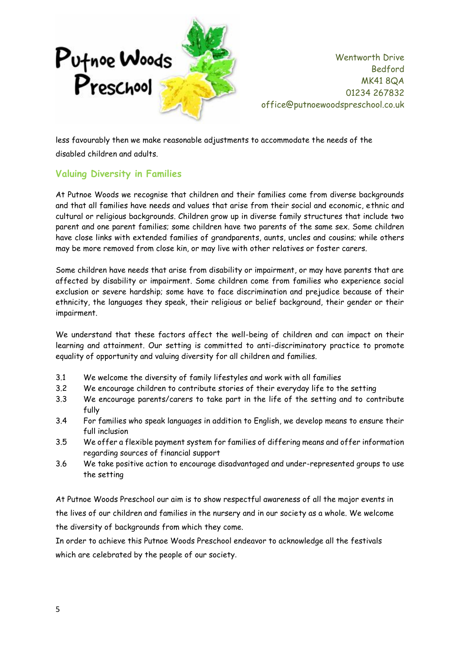

less favourably then we make reasonable adjustments to accommodate the needs of the disabled children and adults.

# **Valuing Diversity in Families**

At Putnoe Woods we recognise that children and their families come from diverse backgrounds and that all families have needs and values that arise from their social and economic, ethnic and cultural or religious backgrounds. Children grow up in diverse family structures that include two parent and one parent families; some children have two parents of the same sex. Some children have close links with extended families of grandparents, aunts, uncles and cousins; while others may be more removed from close kin, or may live with other relatives or foster carers.

Some children have needs that arise from disability or impairment, or may have parents that are affected by disability or impairment. Some children come from families who experience social exclusion or severe hardship; some have to face discrimination and prejudice because of their ethnicity, the languages they speak, their religious or belief background, their gender or their impairment.

We understand that these factors affect the well-being of children and can impact on their learning and attainment. Our setting is committed to anti-discriminatory practice to promote equality of opportunity and valuing diversity for all children and families.

- 3.1 We welcome the diversity of family lifestyles and work with all families
- 3.2 We encourage children to contribute stories of their everyday life to the setting
- 3.3 We encourage parents/carers to take part in the life of the setting and to contribute fully
- 3.4 For families who speak languages in addition to English, we develop means to ensure their full inclusion
- 3.5 We offer a flexible payment system for families of differing means and offer information regarding sources of financial support
- 3.6 We take positive action to encourage disadvantaged and under-represented groups to use the setting

At Putnoe Woods Preschool our aim is to show respectful awareness of all the major events in the lives of our children and families in the nursery and in our society as a whole. We welcome the diversity of backgrounds from which they come.

In order to achieve this Putnoe Woods Preschool endeavor to acknowledge all the festivals which are celebrated by the people of our society.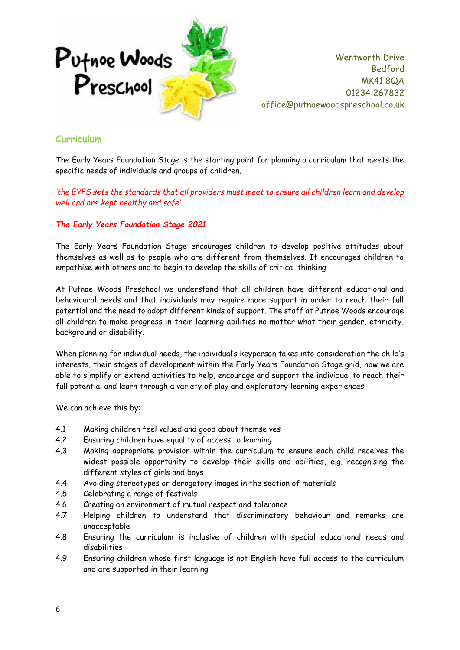

### **Curriculum**

The Early Years Foundation Stage is the starting point for planning a curriculum that meets the specific needs of individuals and groups of children.

*'the EYFS sets the standards that all providers must meet to ensure all children learn and develop well and are kept healthy and safe'*

#### *The Early Years Foundation Stage 2021*

The Early Years Foundation Stage encourages children to develop positive attitudes about themselves as well as to people who are different from themselves. It encourages children to empathise with others and to begin to develop the skills of critical thinking.

At Putnoe Woods Preschool we understand that all children have different educational and behavioural needs and that individuals may require more support in order to reach their full potential and the need to adopt different kinds of support. The staff at Putnoe Woods encourage all children to make progress in their learning abilities no matter what their gender, ethnicity, background or disability.

When planning for individual needs, the individual's keyperson takes into consideration the child's interests, their stages of development within the Early Years Foundation Stage grid, how we are able to simplify or extend activities to help, encourage and support the individual to reach their full potential and learn through a variety of play and exploratory learning experiences.

We can achieve this by:

- 4.1 Making children feel valued and good about themselves
- 4.2 Ensuring children have equality of access to learning
- 4.3 Making appropriate provision within the curriculum to ensure each child receives the widest possible opportunity to develop their skills and abilities, e.g. recognising the different styles of girls and boys
- 4.4 Avoiding stereotypes or derogatory images in the section of materials
- 4.5 Celebrating a range of festivals
- 4.6 Creating an environment of mutual respect and tolerance
- 4.7 Helping children to understand that discriminatory behaviour and remarks are unacceptable
- 4.8 Ensuring the curriculum is inclusive of children with special educational needs and disabilities
- 4.9 Ensuring children whose first language is not English have full access to the curriculum and are supported in their learning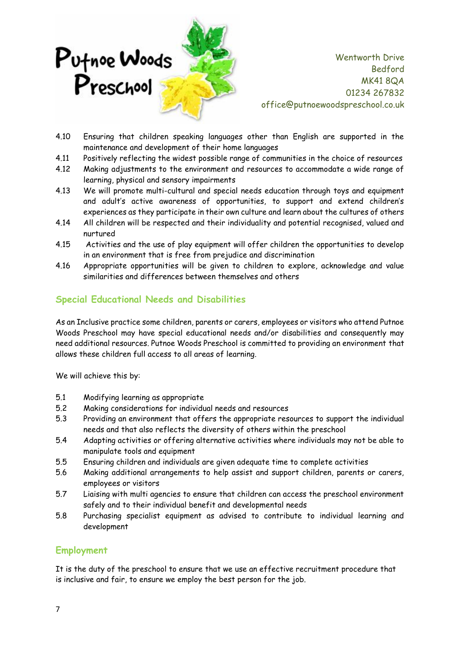

- 4.10 Ensuring that children speaking languages other than English are supported in the maintenance and development of their home languages
- 4.11 Positively reflecting the widest possible range of communities in the choice of resources
- 4.12 Making adjustments to the environment and resources to accommodate a wide range of learning, physical and sensory impairments
- 4.13 We will promote multi-cultural and special needs education through toys and equipment and adult's active awareness of opportunities, to support and extend children's experiences as they participate in their own culture and learn about the cultures of others
- 4.14 All children will be respected and their individuality and potential recognised, valued and nurtured
- 4.15 Activities and the use of play equipment will offer children the opportunities to develop in an environment that is free from prejudice and discrimination
- 4.16 Appropriate opportunities will be given to children to explore, acknowledge and value similarities and differences between themselves and others

### **Special Educational Needs and Disabilities**

As an Inclusive practice some children, parents or carers, employees or visitors who attend Putnoe Woods Preschool may have special educational needs and/or disabilities and consequently may need additional resources. Putnoe Woods Preschool is committed to providing an environment that allows these children full access to all areas of learning.

We will achieve this by:

- 5.1 Modifying learning as appropriate
- 5.2 Making considerations for individual needs and resources
- 5.3 Providing an environment that offers the appropriate resources to support the individual needs and that also reflects the diversity of others within the preschool
- 5.4 Adapting activities or offering alternative activities where individuals may not be able to manipulate tools and equipment
- 5.5 Ensuring children and individuals are given adequate time to complete activities
- 5.6 Making additional arrangements to help assist and support children, parents or carers, employees or visitors
- 5.7 Liaising with multi agencies to ensure that children can access the preschool environment safely and to their individual benefit and developmental needs
- 5.8 Purchasing specialist equipment as advised to contribute to individual learning and development

## **Employment**

It is the duty of the preschool to ensure that we use an effective recruitment procedure that is inclusive and fair, to ensure we employ the best person for the job.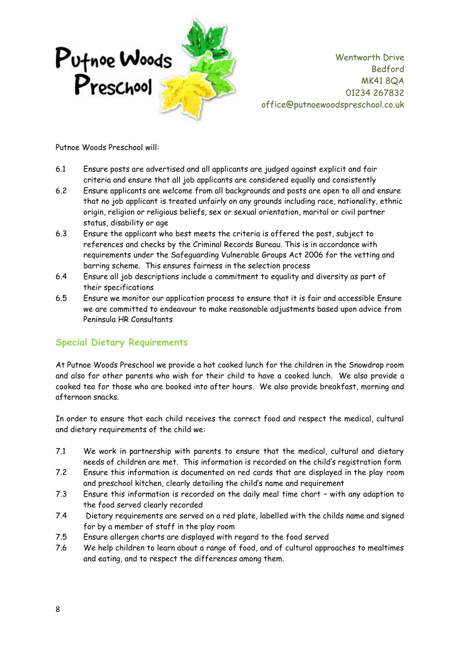

Putnoe Woods Preschool will:

- 6.1 Ensure posts are advertised and all applicants are judged against explicit and fair criteria and ensure that all job applicants are considered equally and consistently
- 6.2 Ensure applicants are welcome from all backgrounds and posts are open to all and ensure that no job applicant is treated unfairly on any grounds including race, nationality, ethnic origin, religion or religious beliefs, sex or sexual orientation, marital or civil partner status, disability or age
- 6.3 Ensure the applicant who best meets the criteria is offered the post, subject to references and checks by the Criminal Records Bureau. This is in accordance with requirements under the Safeguarding Vulnerable Groups Act 2006 for the vetting and barring scheme. This ensures fairness in the selection process
- 6.4 Ensure all job descriptions include a commitment to equality and diversity as part of their specifications
- 6.5 Ensure we monitor our application process to ensure that it is fair and accessible Ensure we are committed to endeavour to make reasonable adjustments based upon advice from Peninsula HR Consultants

## **Special Dietary Requirements**

At Putnoe Woods Preschool we provide a hot cooked lunch for the children in the Snowdrop room and also for other parents who wish for their child to have a cooked lunch. We also provide a cooked tea for those who are booked into after hours. We also provide breakfast, morning and afternoon snacks.

In order to ensure that each child receives the correct food and respect the medical, cultural and dietary requirements of the child we:

- 7.1 We work in partnership with parents to ensure that the medical, cultural and dietary needs of children are met. This information is recorded on the child's registration form
- 7.2 Ensure this information is documented on red cards that are displayed in the play room and preschool kitchen, clearly detailing the child's name and requirement
- 7.3 Ensure this information is recorded on the daily meal time chart with any adaption to the food served clearly recorded
- 7.4 Dietary requirements are served on a red plate, labelled with the childs name and signed for by a member of staff in the play room
- 7.5 Ensure allergen charts are displayed with regard to the food served
- 7.6 We help children to learn about a range of food, and of cultural approaches to mealtimes and eating, and to respect the differences among them.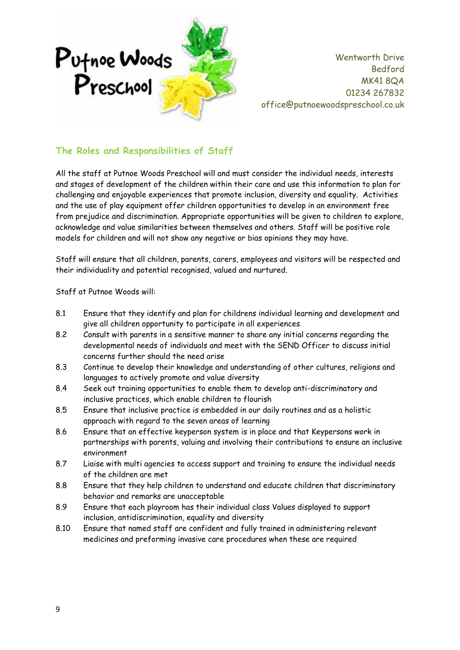

# **The Roles and Responsibilities of Staff**

All the staff at Putnoe Woods Preschool will and must consider the individual needs, interests and stages of development of the children within their care and use this information to plan for challenging and enjoyable experiences that promote inclusion, diversity and equality. Activities and the use of play equipment offer children opportunities to develop in an environment free from prejudice and discrimination. Appropriate opportunities will be given to children to explore, acknowledge and value similarities between themselves and others. Staff will be positive role models for children and will not show any negative or bias opinions they may have.

Staff will ensure that all children, parents, carers, employees and visitors will be respected and their individuality and potential recognised, valued and nurtured.

Staff at Putnoe Woods will:

- 8.1 Ensure that they identify and plan for childrens individual learning and development and give all children opportunity to participate in all experiences
- 8.2 Consult with parents in a sensitive manner to share any initial concerns regarding the developmental needs of individuals and meet with the SEND Officer to discuss initial concerns further should the need arise
- 8.3 Continue to develop their knowledge and understanding of other cultures, religions and languages to actively promote and value diversity
- 8.4 Seek out training opportunities to enable them to develop anti-discriminatory and inclusive practices, which enable children to flourish
- 8.5 Ensure that inclusive practice is embedded in our daily routines and as a holistic approach with regard to the seven areas of learning
- 8.6 Ensure that an effective keyperson system is in place and that Keypersons work in partnerships with parents, valuing and involving their contributions to ensure an inclusive environment
- 8.7 Liaise with multi agencies to access support and training to ensure the individual needs of the children are met
- 8.8 Ensure that they help children to understand and educate children that discriminatory behavior and remarks are unacceptable
- 8.9 Ensure that each playroom has their individual class Values displayed to support inclusion, antidiscrimination, equality and diversity
- 8.10 Ensure that named staff are confident and fully trained in administering relevant medicines and preforming invasive care procedures when these are required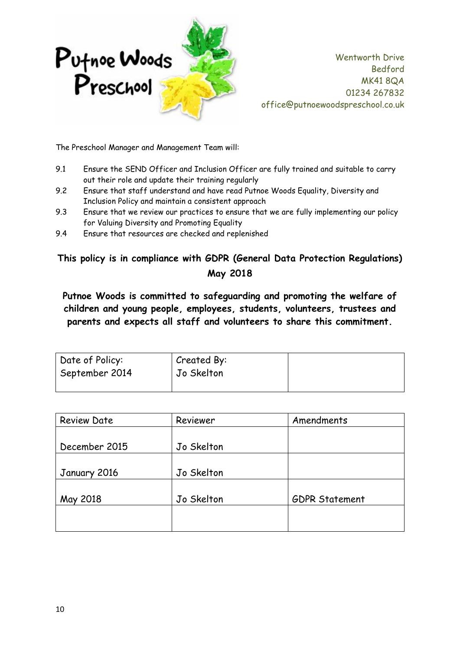

The Preschool Manager and Management Team will:

- 9.1 Ensure the SEND Officer and Inclusion Officer are fully trained and suitable to carry out their role and update their training regularly
- 9.2 Ensure that staff understand and have read Putnoe Woods Equality, Diversity and Inclusion Policy and maintain a consistent approach
- 9.3 Ensure that we review our practices to ensure that we are fully implementing our policy for Valuing Diversity and Promoting Equality
- 9.4 Ensure that resources are checked and replenished

# **This policy is in compliance with GDPR (General Data Protection Regulations) May 2018**

**Putnoe Woods is committed to safeguarding and promoting the welfare of children and young people, employees, students, volunteers, trustees and parents and expects all staff and volunteers to share this commitment.**

| Date of Policy: | Created By: |  |
|-----------------|-------------|--|
| September 2014  | Jo Skelton  |  |
|                 |             |  |

| <b>Review Date</b> | Reviewer   | Amendments            |
|--------------------|------------|-----------------------|
|                    |            |                       |
| December 2015      | Jo Skelton |                       |
|                    |            |                       |
| January 2016       | Jo Skelton |                       |
|                    |            |                       |
| May 2018           | Jo Skelton | <b>GDPR Statement</b> |
|                    |            |                       |
|                    |            |                       |